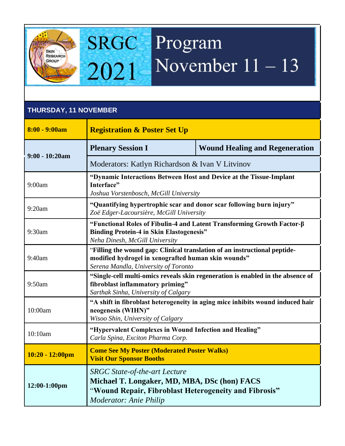

## **SRGC** Program November  $11 - 13$ 2021

## **THURSDAY, 11 NOVEMBER**

| $8:00 - 9:00am$    | <b>Registration &amp; Poster Set Up</b>                                                                                                                                        |                                       |
|--------------------|--------------------------------------------------------------------------------------------------------------------------------------------------------------------------------|---------------------------------------|
| $9:00 - 10:20am$   | <b>Plenary Session I</b>                                                                                                                                                       | <b>Wound Healing and Regeneration</b> |
|                    | Moderators: Katlyn Richardson & Ivan V Litvinov                                                                                                                                |                                       |
| 9:00am             | "Dynamic Interactions Between Host and Device at the Tissue-Implant<br>Interface"<br>Joshua Vorstenbosch, McGill University                                                    |                                       |
| 9:20am             | "Quantifying hypertrophic scar and donor scar following burn injury"<br>Zoë Edger-Lacoursière, McGill University                                                               |                                       |
| 9:30am             | "Functional Roles of Fibulin-4 and Latent Transforming Growth Factor-β<br><b>Binding Protein-4 in Skin Elastogenesis"</b><br>Neha Dinesh, McGill University                    |                                       |
| 9:40am             | "Filling the wound gap: Clinical translation of an instructional peptide-<br>modified hydrogel in xenografted human skin wounds"<br>Serena Mandla, University of Toronto       |                                       |
| 9:50am             | "Single-cell multi-omics reveals skin regeneration is enabled in the absence of<br>fibroblast inflammatory priming"<br>Sarthak Sinha, University of Calgary                    |                                       |
| 10:00am            | "A shift in fibroblast heterogeneity in aging mice inhibits wound induced hair<br>neogenesis (WIHN)"<br>Wisoo Shin, University of Calgary                                      |                                       |
| 10:10am            | "Hypervalent Complexes in Wound Infection and Healing"<br>Carla Spina, Exciton Pharma Corp.                                                                                    |                                       |
| $10:20 - 12:00$ pm | <b>Come See My Poster (Moderated Poster Walks)</b><br><b>Visit Our Sponsor Booths</b>                                                                                          |                                       |
| 12:00-1:00pm       | <b>SRGC</b> State-of-the-art Lecture<br>Michael T. Longaker, MD, MBA, DSc (hon) FACS<br>"Wound Repair, Fibroblast Heterogeneity and Fibrosis"<br><b>Moderator: Anie Philip</b> |                                       |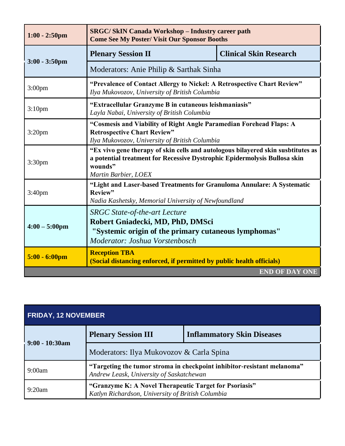| $1:00 - 2:50$ pm        | <b>SRGC/SkIN Canada Workshop - Industry career path</b><br><b>Come See My Poster/ Visit Our Sponsor Booths</b>                                                                                   |                               |  |
|-------------------------|--------------------------------------------------------------------------------------------------------------------------------------------------------------------------------------------------|-------------------------------|--|
| $3:00 - 3:50$ pm        | <b>Plenary Session II</b>                                                                                                                                                                        | <b>Clinical Skin Research</b> |  |
|                         | Moderators: Anie Philip & Sarthak Sinha                                                                                                                                                          |                               |  |
| 3:00 <sub>pm</sub>      | "Prevalence of Contact Allergy to Nickel: A Retrospective Chart Review"<br>Ilya Mukovozov, University of British Columbia                                                                        |                               |  |
| 3:10 <sub>pm</sub>      | "Extracellular Granzyme B in cutaneous leishmaniasis"<br>Layla Nabai, University of British Columbia                                                                                             |                               |  |
| $3:20$ pm               | "Cosmesis and Viability of Right Angle Paramedian Forehead Flaps: A<br><b>Retrospective Chart Review"</b><br>Ilya Mukovozov, University of British Columbia                                      |                               |  |
| 3:30 <sub>pm</sub>      | "Ex vivo gene therapy of skin cells and autologous bilayered skin susbtitutes as<br>a potential treatment for Recessive Dystrophic Epidermolysis Bullosa skin<br>wounds"<br>Martin Barbier, LOEX |                               |  |
| 3:40 <sub>pm</sub>      | "Light and Laser-based Treatments for Granuloma Annulare: A Systematic<br>Review"<br>Nadia Kashetsky, Memorial University of Newfoundland                                                        |                               |  |
| $4:00 - 5:00 \text{pm}$ | <b>SRGC</b> State-of-the-art Lecture<br>Robert Gniadecki, MD, PhD, DMSci<br>"Systemic origin of the primary cutaneous lymphomas"<br>Moderator: Joshua Vorstenbosch                               |                               |  |
| $5:00 - 6:00 \text{pm}$ | <b>Reception TBA</b><br>(Social distancing enforced, if permitted by public health officials)                                                                                                    |                               |  |
|                         |                                                                                                                                                                                                  | <b>END OF DAY ONE</b>         |  |

| <b>FRIDAY, 12 NOVEMBER</b> |                                                                                                                     |                                   |
|----------------------------|---------------------------------------------------------------------------------------------------------------------|-----------------------------------|
| $9:00 - 10:30$ am          | <b>Plenary Session III</b>                                                                                          | <b>Inflammatory Skin Diseases</b> |
|                            | Moderators: Ilya Mukovozov & Carla Spina                                                                            |                                   |
| 9:00am                     | "Targeting the tumor stroma in checkpoint inhibitor-resistant melanoma"<br>Andrew Leask, University of Saskatchewan |                                   |
| 9:20am                     | "Granzyme K: A Novel Therapeutic Target for Psoriasis"<br>Katlyn Richardson, University of British Columbia         |                                   |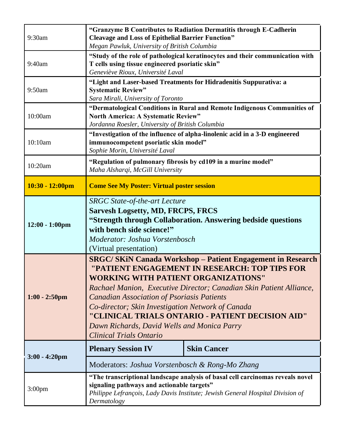| 9:30am             | "Granzyme B Contributes to Radiation Dermatitis through E-Cadherin<br><b>Cleavage and Loss of Epithelial Barrier Function"</b><br>Megan Pawluk, University of British Columbia                                                                                                                                                                                                                                                                                                         |                    |
|--------------------|----------------------------------------------------------------------------------------------------------------------------------------------------------------------------------------------------------------------------------------------------------------------------------------------------------------------------------------------------------------------------------------------------------------------------------------------------------------------------------------|--------------------|
| 9:40am             | "Study of the role of pathological keratinocytes and their communication with<br>T cells using tissue engineered psoriatic skin"<br>Geneviève Rioux, Université Laval                                                                                                                                                                                                                                                                                                                  |                    |
| 9:50am             | "Light and Laser-based Treatments for Hidradenitis Suppurativa: a<br><b>Systematic Review"</b><br>Sara Mirali, University of Toronto                                                                                                                                                                                                                                                                                                                                                   |                    |
| 10:00am            | "Dermatological Conditions in Rural and Remote Indigenous Communities of<br><b>North America: A Systematic Review"</b><br>Jordanna Roesler, University of British Columbia                                                                                                                                                                                                                                                                                                             |                    |
| 10:10am            | "Investigation of the influence of alpha-linolenic acid in a 3-D engineered<br>immunocompetent psoriatic skin model"<br>Sophie Morin, Université Laval                                                                                                                                                                                                                                                                                                                                 |                    |
| 10:20am            | "Regulation of pulmonary fibrosis by cd109 in a murine model"<br>Maha Alsharqi, McGill University                                                                                                                                                                                                                                                                                                                                                                                      |                    |
| $10:30 - 12:00$ pm | <b>Come See My Poster: Virtual poster session</b>                                                                                                                                                                                                                                                                                                                                                                                                                                      |                    |
| $12:00 - 1:00$ pm  | <b>SRGC State-of-the-art Lecture</b><br><b>Sarvesh Logsetty, MD, FRCPS, FRCS</b><br>"Strength through Collaboration. Answering bedside questions<br>with bench side science!"<br>Moderator: Joshua Vorstenbosch<br>(Virtual presentation)                                                                                                                                                                                                                                              |                    |
| $1:00 - 2:50$ pm   | <b>SRGC/SKiN Canada Workshop - Patient Engagement in Research</b><br>"PATIENT ENGAGEMENT IN RESEARCH: TOP TIPS FOR<br><b>WORKING WITH PATIENT ORGANIZATIONS"</b><br>Rachael Manion, Executive Director; Canadian Skin Patient Alliance,<br><b>Canadian Association of Psoriasis Patients</b><br>Co-director; Skin Investigation Network of Canada<br>"CLINICAL TRIALS ONTARIO - PATIENT DECISION AID"<br>Dawn Richards, David Wells and Monica Parry<br><b>Clinical Trials Ontario</b> |                    |
| $3:00 - 4:20$ pm   | <b>Plenary Session IV</b>                                                                                                                                                                                                                                                                                                                                                                                                                                                              | <b>Skin Cancer</b> |
|                    | Moderators: Joshua Vorstenbosch & Rong-Mo Zhang                                                                                                                                                                                                                                                                                                                                                                                                                                        |                    |
| 3:00 <sub>pm</sub> | "The transcriptional landscape analysis of basal cell carcinomas reveals novel<br>signaling pathways and actionable targets"<br>Philippe Lefrançois, Lady Davis Institute; Jewish General Hospital Division of<br>Dermatology                                                                                                                                                                                                                                                          |                    |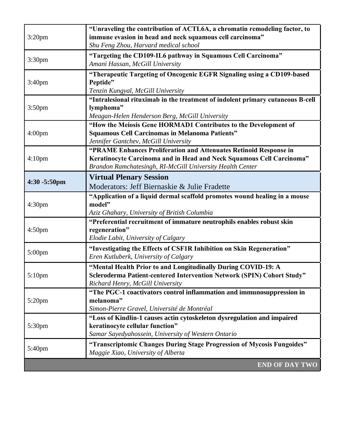|                    | "Unraveling the contribution of ACTL6A, a chromatin remodeling factor, to                                         |
|--------------------|-------------------------------------------------------------------------------------------------------------------|
| $3:20$ pm          | immune evasion in head and neck squamous cell carcinoma"                                                          |
|                    | Shu Feng Zhou, Harvard medical school                                                                             |
| 3:30pm             | "Targeting the CD109-IL6 pathway in Squamous Cell Carcinoma"                                                      |
|                    | Amani Hassan, McGill University                                                                                   |
|                    | "Therapeutic Targeting of Oncogenic EGFR Signaling using a CD109-based                                            |
| 3:40 <sub>pm</sub> | Peptide"                                                                                                          |
|                    | Tenzin Kungyal, McGill University                                                                                 |
|                    | "Intralesional rituximab in the treatment of indolent primary cutaneous B-cell                                    |
| 3:50 <sub>pm</sub> | lymphoma"                                                                                                         |
|                    | Meagan-Helen Henderson Berg, McGill University<br>"How the Meiosis Gene HORMAD1 Contributes to the Development of |
| 4:00 <sub>pm</sub> | <b>Squamous Cell Carcinomas in Melanoma Patients"</b>                                                             |
|                    | Jennifer Gantchev, McGill University                                                                              |
|                    | "PRAME Enhances Proliferation and Attenuates Retinoid Response in                                                 |
| 4:10 <sub>pm</sub> | Keratinocyte Carcinoma and in Head and Neck Squamous Cell Carcinoma"                                              |
|                    | Brandon Ramchatesingh, RI-McGill University Health Center                                                         |
|                    | <b>Virtual Plenary Session</b>                                                                                    |
| 4:30 -5:50pm       | Moderators: Jeff Biernaskie & Julie Fradette                                                                      |
|                    |                                                                                                                   |
| 4:30 <sub>pm</sub> | "Application of a liquid dermal scaffold promotes wound healing in a mouse<br>model"                              |
|                    | Aziz Ghahary, University of British Columbia                                                                      |
|                    | "Preferential recruitment of immature neutrophils enables robust skin                                             |
| 4:50 <sub>pm</sub> | regeneration"                                                                                                     |
|                    | Elodie Labit, University of Calgary                                                                               |
|                    | "Investigating the Effects of CSF1R Inhibition on Skin Regeneration"                                              |
| 5:00pm             | Eren Kutluberk, University of Calgary                                                                             |
|                    | "Mental Health Prior to and Longitudinally During COVID-19: A                                                     |
| 5:10pm             | Scleroderma Patient-centered Intervention Network (SPIN) Cohort Study"                                            |
|                    | Richard Henry, McGill University                                                                                  |
|                    | "The PGC-1 coactivators control inflammation and immunosuppression in                                             |
| $5:20$ pm          | melanoma"                                                                                                         |
|                    | Simon-Pierre Gravel, Université de Montréal                                                                       |
| 5:30pm             | "Loss of Kindlin-1 causes actin cytoskeleton dysregulation and impaired                                           |
|                    | keratinocyte cellular function"                                                                                   |
|                    | Samar Sayedyahossein, University of Western Ontario                                                               |
| 5:40pm             | "Transcriptomic Changes During Stage Progression of Mycosis Fungoides"                                            |
|                    | Maggie Xiao, University of Alberta                                                                                |
|                    | <b>END OF DAY TWO</b>                                                                                             |